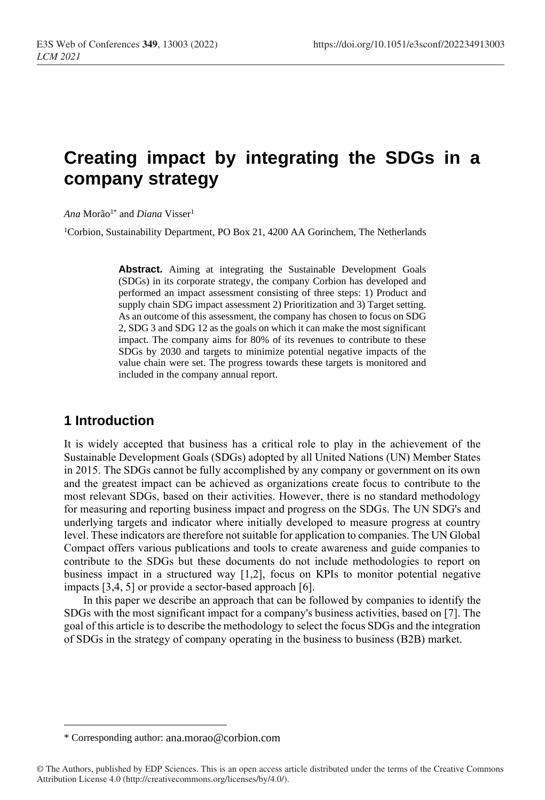# **Creating impact by integrating the SDGs in a company strategy**

 $Ana$  Morão<sup>1\*</sup> and *Diana* Visser<sup>1</sup>

<sup>1</sup>Corbion, Sustainability Department, PO Box 21, 4200 AA Gorinchem, The Netherlands

**Abstract.** Aiming at integrating the Sustainable Development Goals (SDGs) in its corporate strategy, the company Corbion has developed and performed an impact assessment consisting of three steps: 1) Product and supply chain SDG impact assessment 2) Prioritization and 3) Target setting. As an outcome of this assessment, the company has chosen to focus on SDG 2, SDG 3 and SDG 12 as the goals on which it can make the most significant impact. The company aims for 80% of its revenues to contribute to these SDGs by 2030 and targets to minimize potential negative impacts of the value chain were set. The progress towards these targets is monitored and included in the company annual report.

# **1 Introduction**

It is widely accepted that business has a critical role to play in the achievement of the Sustainable Development Goals (SDGs) adopted by all United Nations (UN) Member States in 2015. The SDGs cannot be fully accomplished by any company or government on its own and the greatest impact can be achieved as organizations create focus to contribute to the most relevant SDGs, based on their activities. However, there is no standard methodology for measuring and reporting business impact and progress on the SDGs. The UN SDG's and underlying targets and indicator where initially developed to measure progress at country level. These indicators are therefore not suitable for application to companies. The UN Global Compact offers various publications and tools to create awareness and guide companies to contribute to the SDGs but these documents do not include methodologies to report on business impact in a structured way [1,2], focus on KPIs to monitor potential negative impacts [3,4, 5] or provide a sector-based approach [6].

In this paper we describe an approach that can be followed by companies to identify the SDGs with the most significant impact for a company's business activities, based on [7]. The goal of this article is to describe the methodology to select the focus SDGs and the integration of SDGs in the strategy of company operating in the business to business (B2B) market.

<sup>\*</sup> Corresponding author: ana.morao@corbion.com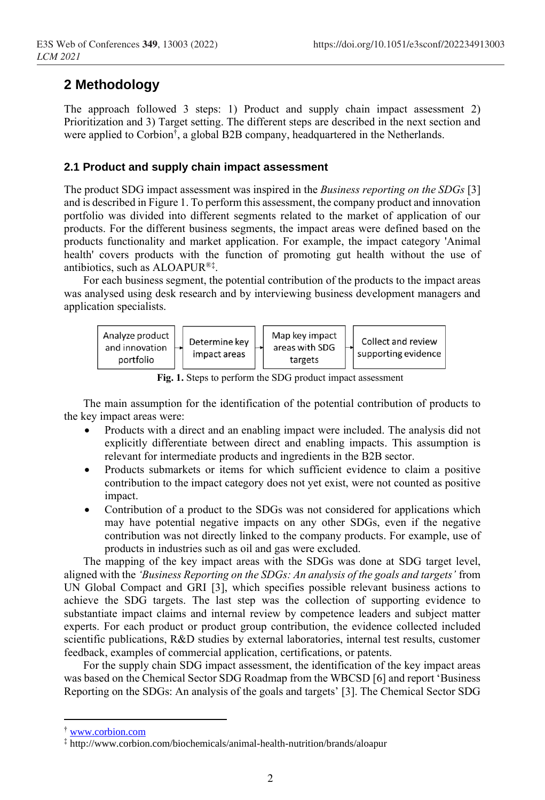# **2 Methodology**

The approach followed 3 steps: 1) Product and supply chain impact assessment 2) Prioritization and 3) Target setting. The different steps are described in the next section and were applied to Corbion† , a global B2B company, headquartered in the Netherlands.

#### **2.1 Product and supply chain impact assessment**

The product SDG impact assessment was inspired in the *Business reporting on the SDGs* [3] and is described in Figure 1. To perform this assessment, the company product and innovation portfolio was divided into different segments related to the market of application of our products. For the different business segments, the impact areas were defined based on the products functionality and market application. For example, the impact category 'Animal health' covers products with the function of promoting gut health without the use of antibiotics, such as ALOAPUR®‡ .

For each business segment, the potential contribution of the products to the impact areas was analysed using desk research and by interviewing business development managers and application specialists.

| Analyze product<br>and innovation<br>portfolio |  | Determine key<br>impact areas |  | Map key impact<br>areas with SDG<br>targets |  | Collect and review<br>supporting evidence |  |
|------------------------------------------------|--|-------------------------------|--|---------------------------------------------|--|-------------------------------------------|--|
|------------------------------------------------|--|-------------------------------|--|---------------------------------------------|--|-------------------------------------------|--|

**Fig. 1.** Steps to perform the SDG product impact assessment

The main assumption for the identification of the potential contribution of products to the key impact areas were:

- Products with a direct and an enabling impact were included. The analysis did not explicitly differentiate between direct and enabling impacts. This assumption is relevant for intermediate products and ingredients in the B2B sector.
- Products submarkets or items for which sufficient evidence to claim a positive contribution to the impact category does not yet exist, were not counted as positive impact.
- Contribution of a product to the SDGs was not considered for applications which may have potential negative impacts on any other SDGs, even if the negative contribution was not directly linked to the company products. For example, use of products in industries such as oil and gas were excluded.

The mapping of the key impact areas with the SDGs was done at SDG target level, aligned with the *'Business Reporting on the SDGs: An analysis of the goals and targets'* from UN Global Compact and GRI [3], which specifies possible relevant business actions to achieve the SDG targets. The last step was the collection of supporting evidence to substantiate impact claims and internal review by competence leaders and subject matter experts. For each product or product group contribution, the evidence collected included scientific publications, R&D studies by external laboratories, internal test results, customer feedback, examples of commercial application, certifications, or patents.

For the supply chain SDG impact assessment, the identification of the key impact areas was based on the Chemical Sector SDG Roadmap from the WBCSD [6] and report 'Business Reporting on the SDGs: An analysis of the goals and targets' [3]. The Chemical Sector SDG

<sup>†</sup> [www.corbion.com](http://www.corbion.com/)

<sup>‡</sup> http://www.corbion.com/biochemicals/animal-health-nutrition/brands/aloapur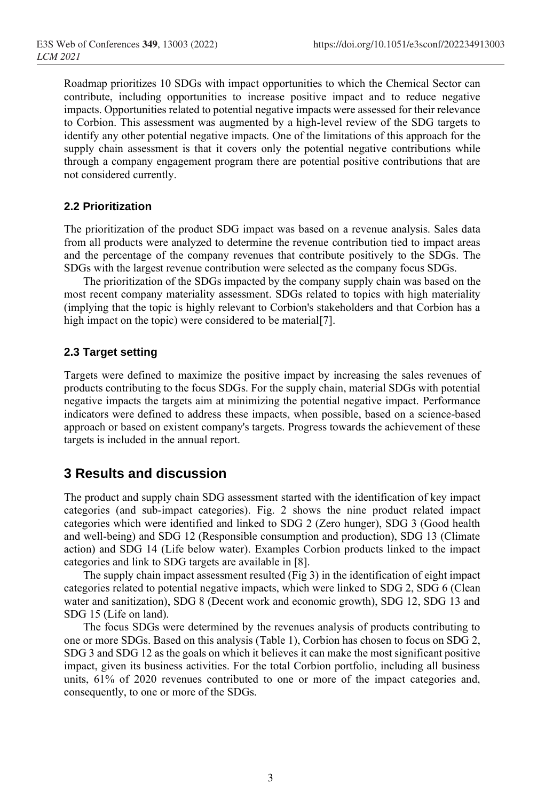Roadmap prioritizes 10 SDGs with impact opportunities to which the Chemical Sector can contribute, including opportunities to increase positive impact and to reduce negative impacts. Opportunities related to potential negative impacts were assessed for their relevance to Corbion. This assessment was augmented by a high-level review of the SDG targets to identify any other potential negative impacts. One of the limitations of this approach for the supply chain assessment is that it covers only the potential negative contributions while through a company engagement program there are potential positive contributions that are not considered currently.

#### **2.2 Prioritization**

The prioritization of the product SDG impact was based on a revenue analysis. Sales data from all products were analyzed to determine the revenue contribution tied to impact areas and the percentage of the company revenues that contribute positively to the SDGs. The SDGs with the largest revenue contribution were selected as the company focus SDGs.

The prioritization of the SDGs impacted by the company supply chain was based on the most recent company materiality assessment. SDGs related to topics with high materiality (implying that the topic is highly relevant to Corbion's stakeholders and that Corbion has a high impact on the topic) were considered to be material[7].

#### **2.3 Target setting**

Targets were defined to maximize the positive impact by increasing the sales revenues of products contributing to the focus SDGs. For the supply chain, material SDGs with potential negative impacts the targets aim at minimizing the potential negative impact. Performance indicators were defined to address these impacts, when possible, based on a science-based approach or based on existent company's targets. Progress towards the achievement of these targets is included in the annual report.

# **3 Results and discussion**

The product and supply chain SDG assessment started with the identification of key impact categories (and sub-impact categories). Fig. 2 shows the nine product related impact categories which were identified and linked to SDG 2 (Zero hunger), SDG 3 (Good health and well-being) and SDG 12 (Responsible consumption and production), SDG 13 (Climate action) and SDG 14 (Life below water). Examples Corbion products linked to the impact categories and link to SDG targets are available in [8].

The supply chain impact assessment resulted (Fig 3) in the identification of eight impact categories related to potential negative impacts, which were linked to SDG 2, SDG 6 (Clean water and sanitization), SDG 8 (Decent work and economic growth), SDG 12, SDG 13 and SDG 15 (Life on land).

The focus SDGs were determined by the revenues analysis of products contributing to one or more SDGs. Based on this analysis (Table 1), Corbion has chosen to focus on SDG 2, SDG 3 and SDG 12 as the goals on which it believes it can make the most significant positive impact, given its business activities. For the total Corbion portfolio, including all business units, 61% of 2020 revenues contributed to one or more of the impact categories and, consequently, to one or more of the SDGs.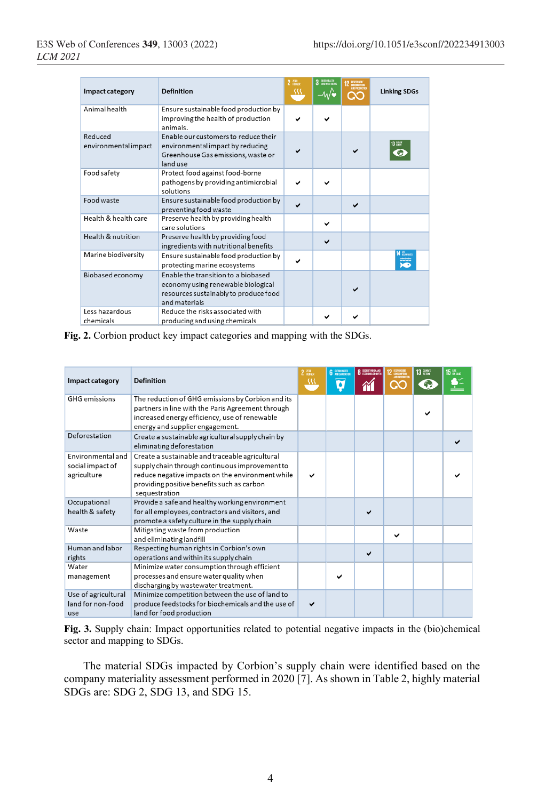| Impact category                 | Definition                                                                                                                          | $2 \frac{mn}{mnn}$<br>\\\ | 3 SIODHEALTH | ex. | <b>Linking SDGs</b>  |
|---------------------------------|-------------------------------------------------------------------------------------------------------------------------------------|---------------------------|--------------|-----|----------------------|
| Animal health                   | Ensure sustainable food production by<br>improving the health of production<br>animals.                                             |                           |              |     |                      |
| Reduced<br>environmental impact | Enable our customers to reduce their<br>environmental impact by reducing<br>Greenhouse Gas emissions, waste or<br>land use          |                           |              |     | 13 gmm               |
| Food safety                     | Protect food against food-borne<br>pathogens by providing antimicrobial<br>solutions                                                |                           |              |     |                      |
| Food waste                      | Ensure sustainable food production by<br>preventing food waste                                                                      |                           |              |     |                      |
| Health & health care            | Preserve health by providing health<br>care solutions                                                                               |                           | $\checkmark$ |     |                      |
| Health & nutrition              | Preserve health by providing food<br>ingredients with nutritional benefits                                                          |                           |              |     |                      |
| Marine biodiversity             | Ensure sustainable food production by<br>protecting marine ecosystems                                                               |                           |              |     | 14 BOSWAR<br>.<br>Do |
| Biobased economy                | Enable the transition to a biobased<br>economy using renewable biological<br>resources sustainably to produce food<br>and materials |                           |              |     |                      |
| Less hazardous<br>chemicals     | Reduce the risks associated with<br>producing and using chemicals                                                                   |                           |              |     |                      |

**Fig. 2.** Corbion product key impact categories and mapping with the SDGs.

| Impact category                                             | <b>Definition</b>                                                                                                                                                                                                    | $2$ $\frac{7580}{100000}$<br>38 | <b>6</b> CLEANWATER | <b>O DECENT WORK AND</b> |              | 13 GLIMATE | 15 <sub>WLMO</sub> |
|-------------------------------------------------------------|----------------------------------------------------------------------------------------------------------------------------------------------------------------------------------------------------------------------|---------------------------------|---------------------|--------------------------|--------------|------------|--------------------|
| <b>GHG</b> emissions                                        | The reduction of GHG emissions by Corbion and its<br>partners in line with the Paris Agreement through<br>increased energy efficiency, use of renewable<br>energy and supplier engagement.                           |                                 |                     |                          |              |            |                    |
| Deforestation                                               | Create a sustainable agricultural supply chain by<br>eliminating deforestation                                                                                                                                       |                                 |                     |                          |              |            |                    |
| <b>Environmental and</b><br>social impact of<br>agriculture | Create a sustainable and traceable agricultural<br>supply chain through continuous improvement to<br>reduce negative impacts on the environment while<br>providing positive benefits such as carbon<br>sequestration | ✓                               |                     |                          |              |            |                    |
| Occupational<br>health & safety                             | Provide a safe and healthy working environment<br>for all employees, contractors and visitors, and<br>promote a safety culture in the supply chain                                                                   |                                 |                     |                          |              |            |                    |
| Waste                                                       | Mitigating waste from production<br>and eliminating landfill                                                                                                                                                         |                                 |                     |                          | $\checkmark$ |            |                    |
| Human and labor<br>rights                                   | Respecting human rights in Corbion's own<br>operations and within its supply chain                                                                                                                                   |                                 |                     | ✓                        |              |            |                    |
| Water<br>management                                         | Minimize water consumption through efficient<br>processes and ensure water quality when<br>discharging by wastewater treatment.                                                                                      |                                 |                     |                          |              |            |                    |
| Use of agricultural<br>land for non-food<br>use             | Minimize competition between the use of land to<br>produce feedstocks for biochemicals and the use of<br>land for food production                                                                                    | ✓                               |                     |                          |              |            |                    |

**Fig. 3.** Supply chain: Impact opportunities related to potential negative impacts in the (bio)chemical sector and mapping to SDGs.

The material SDGs impacted by Corbion's supply chain were identified based on the company materiality assessment performed in 2020 [7]. As shown in Table 2, highly material SDGs are: SDG 2, SDG 13, and SDG 15.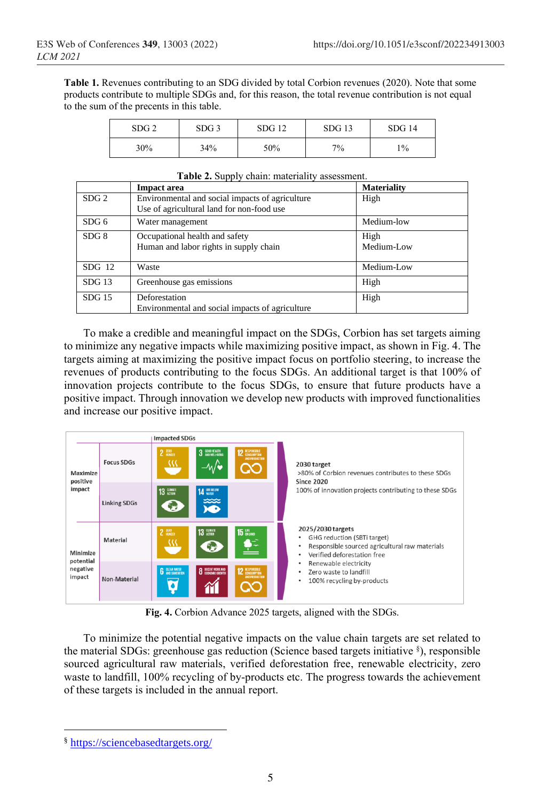**Table 1.** Revenues contributing to an SDG divided by total Corbion revenues (2020). Note that some products contribute to multiple SDGs and, for this reason, the total revenue contribution is not equal to the sum of the precents in this table.

| SDG <sub>2</sub> | SDG <sub>3</sub> | SDG12 | $SDG$ 13 | SDG14 |
|------------------|------------------|-------|----------|-------|
| 30%              | 34%              | 50%   | 7%       | 1%    |

|                  | <b>Impact area</b>                                                                           | <b>Materiality</b> |
|------------------|----------------------------------------------------------------------------------------------|--------------------|
| SDG <sub>2</sub> | Environmental and social impacts of agriculture<br>Use of agricultural land for non-food use | High               |
|                  |                                                                                              |                    |
| SDG 6            | Water management                                                                             | Medium-low         |
| SDG 8            | Occupational health and safety                                                               | High               |
|                  | Human and labor rights in supply chain                                                       | Medium-Low         |
| $SDG$ 12         | Waste                                                                                        | Medium-Low         |
| $SDG$ 13         | Greenhouse gas emissions                                                                     | High               |
| $SDG$ 15         | Deforestation                                                                                | High               |
|                  | Environmental and social impacts of agriculture                                              |                    |

|  | Table 2. Supply chain: materiality assessment. |  |  |
|--|------------------------------------------------|--|--|
|--|------------------------------------------------|--|--|

To make a credible and meaningful impact on the SDGs, Corbion has set targets aiming to minimize any negative impacts while maximizing positive impact, as shown in Fig. 4. The targets aiming at maximizing the positive impact focus on portfolio steering, to increase the revenues of products contributing to the focus SDGs. An additional target is that 100% of innovation projects contribute to the focus SDGs, to ensure that future products have a positive impact. Through innovation we develop new products with improved functionalities and increase our positive impact.



**Fig. 4.** Corbion Advance 2025 targets, aligned with the SDGs.

To minimize the potential negative impacts on the value chain targets are set related to the material SDGs: greenhouse gas reduction (Science based targets initiative § ), responsible sourced agricultural raw materials, verified deforestation free, renewable electricity, zero waste to landfill, 100% recycling of by-products etc. The progress towards the achievement of these targets is included in the annual report.

<sup>§</sup> <https://sciencebasedtargets.org/>